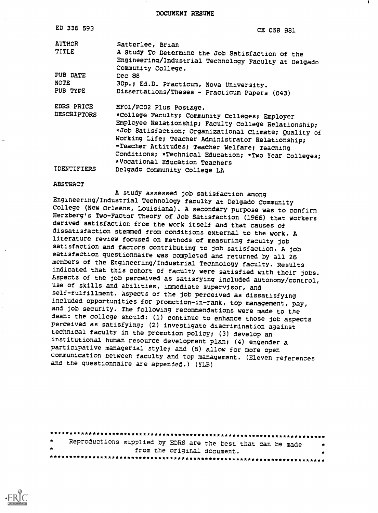DOCUMENT RESUME

| ED 336 593         | <b>CE 058 981</b>                                                                                                              |
|--------------------|--------------------------------------------------------------------------------------------------------------------------------|
| <b>AUTHOR</b>      | Satterlee, Brian                                                                                                               |
| TITLE              | A Study To Determine the Job Satisfaction of the<br>Engineering/Industrial Technology Faculty at Delgado<br>Community College. |
| PUB DATE           | Dec 88                                                                                                                         |
| NOTE               | 30p.; Ed.D. Practicum, Nova University.                                                                                        |
| PUB TYPE           | Dissertations/Theses - Practicum Papers (043)                                                                                  |
| <b>EDRS PRICE</b>  | MF01/PC02 Plus Postage.                                                                                                        |
| <b>DESCRIPTORS</b> | *College Faculty; Community Colleges; Employer                                                                                 |
|                    | Employee Relationship; Faculty College Relationship;                                                                           |
|                    | *Job Satisfaction; Organizational Climate; Quality of                                                                          |
|                    | Working Life; Teacher Administrator Relationship;                                                                              |
|                    | *Teacher Attitudes; Teacher Welfare; Teaching                                                                                  |
|                    | Conditions; *Technical Education; *Two Year Colleges;<br>*Vocational Education Teachers                                        |
| IDENTIFIERS        | Delgado Community College LA                                                                                                   |

#### ABSTRACT

A study assessed job satisfaction among Engineering/Industrial Technology faculty at Delgado Community College (New Orleans, Louisiana). A secondary purpose was to confirm Herzberg's Two-Factor Theory of Job Satisfaction (1966) that workers derived satisfaction from the work itself and that causes of dissatisfaction stemmed from conditions external to the work. A literature review focused on methods of measuring faculty job satisfaction and factors contributing to job satisfaction. A job satisfaction questionnaire was completed and returned by all 26 members of the Engineering/Industrial Technology faculty. Results indicated that this cohort of faculty were satisfied with their jobs. Aspects of the job perceived as satisfying included autonomy/control, use of skills and abilities, immediate supervisor, and self-fulfillment. Aspects of the job perceived as dissatisfying included opportunities for promotion-in-rank, top management, pay, and job security. The following recommendations were made to the dean: the college should: (1) continue to enhance those job aspects perceived as satisfying; (2) investigate discrimination against technical faculty in the promotion policy; (3) develop an institutional human resource development plan; (4) engender a participative managerial style; and (5) allow for more open communication between faculty and top management. (Eleven references and the questionnaire are appended.) (YLB)

| $\star$ |  | Reproductions supplied by EDRS are the best that can be made | 赏 |
|---------|--|--------------------------------------------------------------|---|
|         |  | from the original document.                                  |   |
|         |  |                                                              |   |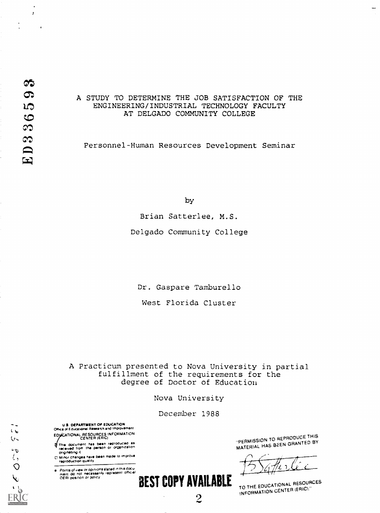$\epsilon$  $\mathcal{U}$ 

> $\overline{b}$  $l_{\mathcal{L}}$  $\bigcirc$

> > $\overline{\mathbf{V}}$

 $\ddot{\phantom{1}}$  $\mathbf{r}$ 

 $\overline{1}$ 

# A STUDY TO DETERMINE THE JOB SATISFACTION OF THE ENGINEERING/INDUSTRIAL TECHNOLOGY FACULTY AT DELGADO COMMUNITY COLLEGE

Personnel-Human Resources Development Seminar

by

Brian Satterlee, M.S.

Delgado Community College

Dr. Gaspare Tamburello

West Florida Cluster

A Practicum presented to Nova University in partial fulfillment of the requirements for the degree of Doctor of Education

Nova University

December 1988

BEST COPY AVAILABLE

9

U.S. DEPARTMENT Of EDUCATION Office of Educational Rasearch and Improvement EDJICATIONAL RESOURCES INFORMATION<br>CENTER (ERIC)

This document has been reproduced as<br>raceived from the parson or orgenization ciriginating it

Minor changes have been made to improve.<br>reproduction qualify

Points of view or opinions stated in this docu:<br>mant: do: not inecessarily represent inflicial<br>OERI position or policy

-PERMISSION TO REPRODUCE THIS MATERIAL HAS BEEN GRANTED BY

TO THE EDUCATIONAL RESOURCES INFORMATION CENTER (ERIC)."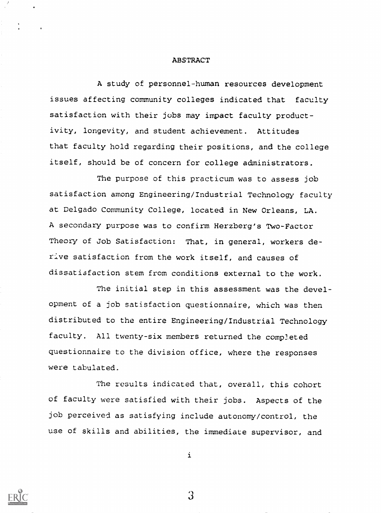#### ABSTRACT

A study of personnel-human resources development issues affecting community colleges indicated that faculty satisfaction with their jobs may impact faculty productivity, longevity, and student achievement. Attitudes that faculty hold regarding their positions, and the college itself, should be of concern for college administrators.

The purpose of this practicum was to assess job satisfaction among Engineering/Industrial Technology faculty at Delgado Community College, located in New Orleans, LA. A secondary purpose was to confirm Herzberg's Two-Factor Theory of Job Satisfaction: That, in general, workers derive satisfaction from the work itself, and causes of dissatisfaction stem from conditions external to the work.

The initial step in this assessment was the development of a job satisfaction questionnaire, which was then distributed to the entire Engineering/Industrial Technology faculty. All twenty-six members returned the completed questionnaire to the division office, where the responses were tabulated.

The results indicated that, overall, this cohort of faculty were satisfied with their jobs. Aspects of the job perceived as satisfying include autonomy/control, the use of skills and abilities, the immediate supervisor, and

3.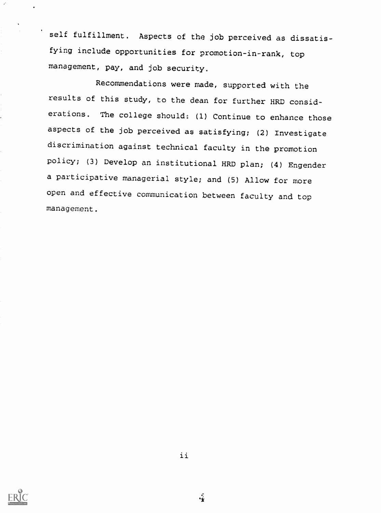self fulfillment. Aspects of the job perceived as dissatisfying include opportunities for promotion-in-rank, top management, pay, and job security.

Recommendations were made, supported with the results of this study, to the dean for further HRD considerations. The college should: (1) Continue to enhance those aspects of the job perceived as satisfying; (2) Investigate discrimination against technical faculty in the promotion policy; (3) Develop an institutional HRD plan; (4) Engender a participative managerial style; and (5) Allow for more open and effective communication between faculty and top management.

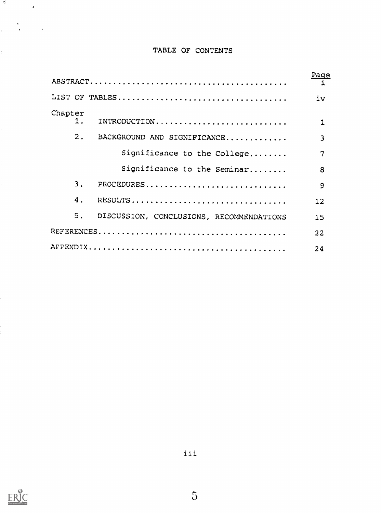# TABLE OF CONTENTS

|                           |                                             | Page |
|---------------------------|---------------------------------------------|------|
|                           |                                             | iv   |
| Chapter<br>$\mathbf{1}$ . | INTRODUCTION                                | 1    |
| 2.                        | BACKGROUND AND SIGNIFICANCE                 | 3    |
|                           | Significance to the College                 | 7    |
|                           | Significance to the Seminar                 | 8    |
| 3.                        |                                             | 9    |
| 4.                        | RESULTS                                     | 12   |
|                           | 5. DISCUSSION, CONCLUSIONS, RECOMMENDATIONS | 15   |
|                           |                                             | 22   |
|                           |                                             | 24   |



 $\frac{d\theta}{dt}$  and  $\frac{d\theta}{dt}$ 

 $\label{eq:2.1} \frac{1}{\sqrt{2}}\left(\frac{1}{\sqrt{2}}\right)^{2} \left(\frac{1}{\sqrt{2}}\right)^{2} \left(\frac{1}{\sqrt{2}}\right)^{2}$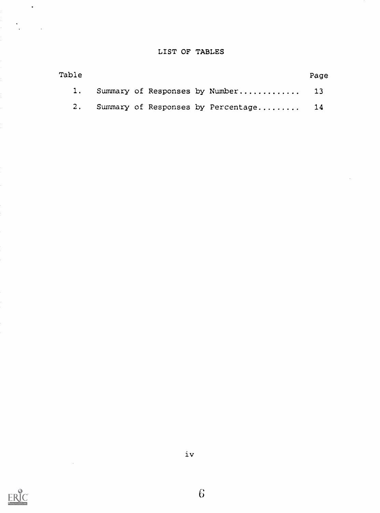# LIST OF TABLES

| Table |  |  |                                          | Page |
|-------|--|--|------------------------------------------|------|
|       |  |  | 1. Summary of Responses by Number 13     |      |
|       |  |  | 2. Summary of Responses by Percentage 14 |      |

 $\hat{\mathcal{A}}$ 



 $\mathcal{L}^{\text{max}}_{\text{max}}$  and  $\mathcal{L}^{\text{max}}_{\text{max}}$ 

 $\ddot{\phantom{a}}$ 

 $\frac{1}{2}$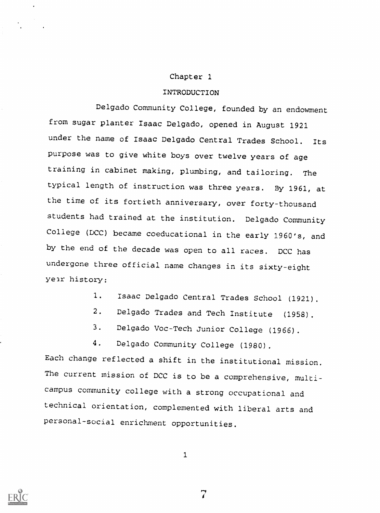### Chapter 1

# INTRODUCTION

Delgado Community College, founded by an endowment from sugar planter Isaac Delgado, opened in August 1921 under the name of Isaac Delgado Central Trades School. Its purpose was to give white boys over twelve years of age training in cabinet making, plumbing, and tailoring. The typical length of instruction was three years. By 1961, at the time of its fortieth anniversary, over forty-thousand students had trained at the institution. Delgado Community College (DCC) became coeducational in the early 1960's, and by the end of the decade was open to all races. DCC has undergone three official name changes in its sixty-eight year history:

- 1. Isaac Delgado Central Trades School (1921).
- 2. Delgado Trades and Tech Institute (1958).
- 3. Delgado Voc-Tech Junior College (1966).
- 4. Delgado Community College (1980).

Each change reflected a shift in the institutional mission. The current mission of DCC is to be a comprehensive, multicampus community college with a strong occupational and technical orientation, complemented with liberal arts and personal-social enrichment opportunities.

1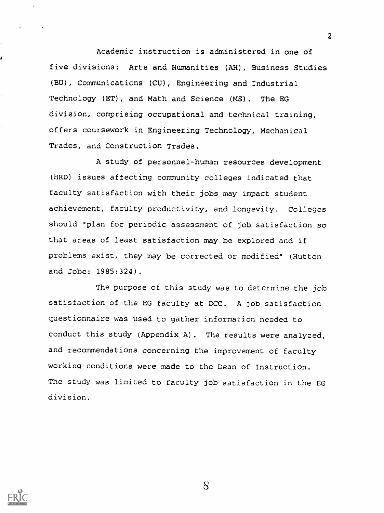Academic instruction is administered in one of five divisions: Arts and Humanities (AH), Business Studies (BU), Communications (CU), Engineering and Industrial Technology (ET), and Math and Science (MS). The EG division, comprising occupational and technical training, offers coursework in Engineering Technology, Mechanical Trades, and Construction Trades.

A study of personnel-human resources development (HRD) issues affecting community colleges indicated that faculty satisfaction with their jobs may impact student achievement, faculty productivity, and longevity. Colleges should "plan for periodic assessment of job satisfaction so that areas of least satisfaction may be explored and if problems exist, they may be corrected or modified" (Hutton and Jobe: 1985:324).

The purpose of this study was to determine the job satisfaction of the EG faculty at DCC. A job satisfaction questionnaire was used to gather information needed to conduct this study (Appendix A). The results were analyzed, and recommendations concerning the improvement of faculty working conditions were made to the Dean of Instruction. The study was limited to faculty job satisfaction in the EG division.

 $8$ 

 $2<sup>2</sup>$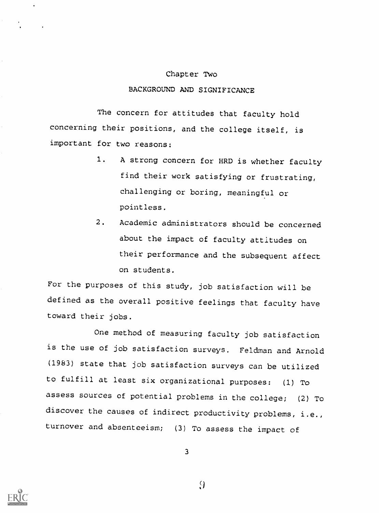#### Chapter Two

# BACKGROUND AND SIGNIFICANCE

The concern for attitudes that faculty hold concerning their positions, and the college itself, is important for two reasons:

- 1. A strong concern for HRD is whether faculty find their work satisfying or frustrating, challenging or boring, meaningful or pointless.
- 2. Academic administrators should be concerned about the impact of faculty attitudes on their performance and the subsequent affect on students.

For the purposes of this study, job satisfaction will be defined as the overall positive feelings that faculty have toward their jobs.

One method of measuring faculty job satisfaction is the use of job satisfaction surveys. Feldman and Arnold (1983) state that job satisfaction surveys can be utilized to fulfill at least six organizational purposes: (1) To assess sources of potential problems in the college; (2) To discover the causes of indirect productivity problems, i.e., turnover and absenteeism; (3) To assess the impact of

3



 $\Omega$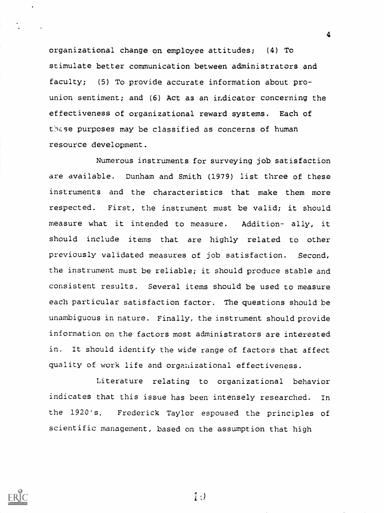organizational change on employee attitudes; (4) To stimulate better communication between administrators and faculty; (5) To provide accurate information about prounion sentiment; and  $(6)$  Act as an indicator concerning the effectiveness of organizational reward systems. Each of these purposes may be classified as concerns of human resource development.

4

Numerous instruments for surveying job satisfaction are available. Dunham and Smith (1979) list three of these instruments and the characteristics that make them more respected. First, the instrument must be valid; it should measure what it intended to measure. Addition- ally, it should include items that are highly related to other previously validated measures of job satisfaction. Second, the instrument must be reliable; it should produce stable and consistent results. Several items should be used to measure each particular satisfaction factor. The questions should be unambiguous in nature. Finally, the instrument should provide information on the factors most administrators are interested in. It should identify the wide range of factors that affect quality of work life and organizational effectiveness.

Literature relating to organizational behavior indicates that this issue has been intensely researched. In the 1920's, Frederick Taylor espoused the principles of scientific management, based on the assumption that high



 $1:$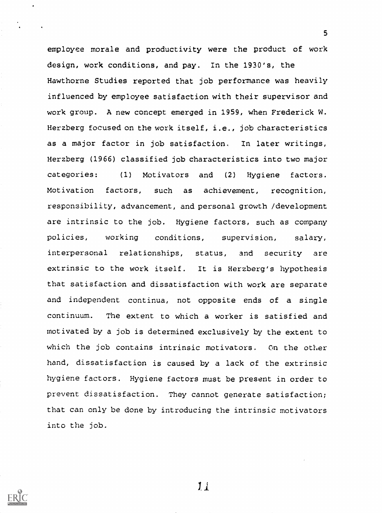employee morale and productivity were the product of work design, work conditions, and pay. In the 1930's, the Hawthorne Studies reported that job performance was heavily influenced by employee satisfaction with their supervisor and work group. A new concept emerged in 1959, when Frederick W. Herzberg focused on the work itself, i.e., job characteristics as a major factor in job satisfaction. In later writings, Herzberg (1966) classified job characteristics into two major categories: (1) Motivators and (2) Hygiene factors. Motivation factors, such as achievement, recognition, responsibility, advancement, and personal growth /development are intrinsic to the job. Hygiene factors, such as company policies, working conditions, supervision, salary, interpersonal relationships, status, and security are extrinsic to the work itself. It is Herzberg's hypothesis that satisfaction and dissatisfaction with work are separate and independent continua, not opposite ends of a single continuum. The extent to which a worker is satisfied and motivated by a job is determined exclusively by the extent to which the job contains intrinsic motivators. On the other hand, dissatisfaction is caused by a lack of the extrinsic hygiene factors. Hygiene factors must be present in order to prevent dissatisfaction. They cannot generate satisfaction; that can only be done by introducing the intrinsic motivators into the job.

 $11$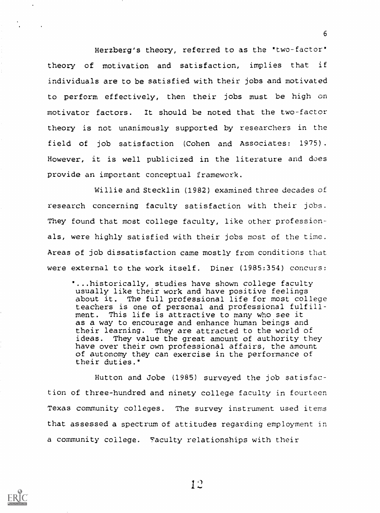Herzberg's theory, referred to as the "two-factor" theory of motivation and satisfaction, implies that if individuals are to be satisfied with their jobs and motivated to perform effectively, then their jobs must be high on motivator factors. It should be noted that the two-factor theory is not unanimously supported by researchers in the field of job satisfaction (Cohen and Associates: 1975). However, it is well publicized in the literature and does provide an important conceptual framework.

6

Willie and Stecklin (1982) examined three decades of research concerning faculty satisfaction with their jobs. They found that most college faculty, like other professionals, were highly satisfied with their jobs most of the time. Areas of job dissatisfaction came mostly from conditions that were external to the work itself. Diner (1985:354) concurs:

...historically, studies have shown college faculty usually like their work and have positive feelings about it. The full professional life for most college teachers is one of personal and professional fulfillment. This life is attractive to many who see it as a way to encourage and enhance human beings and their learning. They are attracted to the world of ideas. They value the great amount of authority they have over their own professional affairs, the amount of autonomy they can exercise in the performance of their duties.'

Hutton and Jobe (1985) surveyed the job satisfaction of three-hundred and ninety college faculty in fourteen Texas community colleges. The survey instrument used items that assessed a spectrum of attitudes regarding employment in a community college. Taculty relationships with their

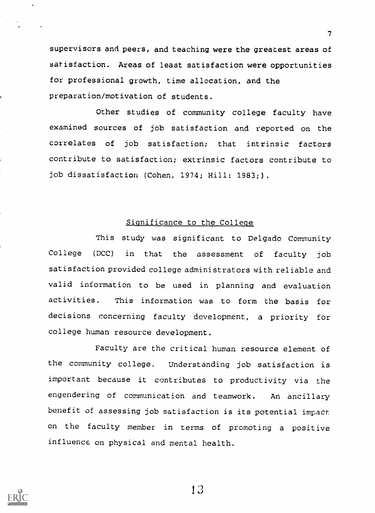supervisors and peers, and teaching were the greatest areas of satisfaction. Areas of least satisfaction were opportunities for professional growth, time allocation, and the preparation/motivation of students.

Other studies of community college faculty have examined sources of job satisfaction and reported on the correlates of job satisfaction; that intrinsic factors contribute to satisfaction; extrinsic factors contribute to job dissatisfaction (Cohen, 1974; Hill: 1983;).

# Significance to the College

This study was significant to Delgado Community College (DCC) in that the assessment of faculty job satisfaction provided college administrators with reliable and valid information to be used in planning and evaluation activities. This information was to form the basis for decisions concerning faculty development, a priority for college human resource development.

Faculty are the critical human resource element of the community college. Understanding job satisfaction is important because it contributes to productivity via the engendering of communication and teamwork. An ancillary benefit of assessing job satisfaction is its potential impact on the faculty member in terms of promoting a positive influence on physical and mental health.



1 3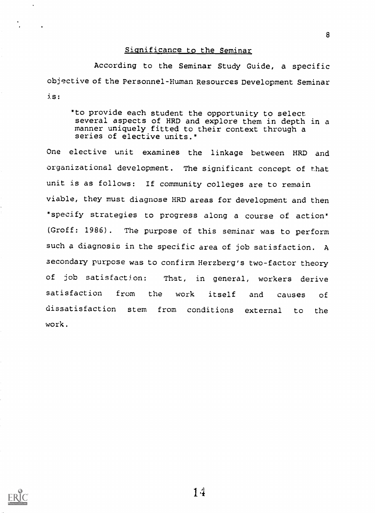## Significance to the Seminar

According to the Seminar Study Guide, a specific objective of the Personnel-Human Resources Development Seminar is:

'to provide each student the opportunity to select several aspects of HRD and explore them in depth in a manner uniquely fitted to their context through a series of elective units."

One elective unit examines the linkage between HRD and organizational development. The significant concept of that unit is as follows: If community colleges are to remain viable, they must diagnose HRD areas for development and then 'specify strategies to progress along a course of action' (Groff: 1986). The purpose of this seminar was to perform such a diagnosis in the specific area of job satisfaction. A secondary purpose was to confirm Herzberg's two-factor theory of job satisfaction: That, in general, workers derive satisfaction from the work itself and causes of dissatisfaction stem from conditions external to the work.



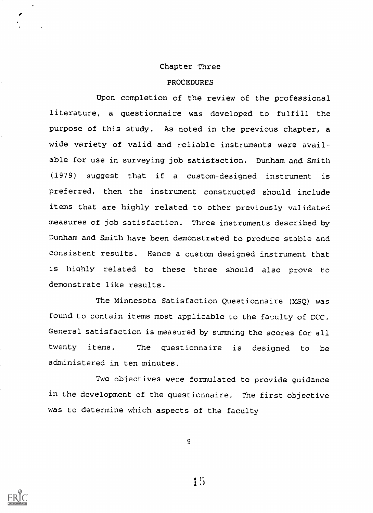#### Chapter Three

#### PROCEDURES

Upon completion of the review of the professional literature, a questionnaire was developed to fulfill the purpose of this study. As noted in the previous chapter, a wide variety of valid and reliable instruments were available for use in surveying job satisfaction. Dunham and Smith (1979) suggest that if a custom-designed instrument is preferred, then the instrument constructed should include items that are highly related to other previously validated measures of job satisfaction. Three instruments described by Dunham and Smith have been demonstrated to produce stable and consistent results. Hence a custom designed instrument that is highly related to these three should also prove to demonstrate like results.

The Minnesota Satisfaction Questionnaire (MSQ) was found to contain items most applicable to the faculty of DCC. General satisfaction is measured by summing the scores for all twenty items. The questionnaire is designed to be administered in ten minutes.

Two objectives were formulated to provide guidance in the development of the questionnaire. The first objective was to determine which aspects of the faculty

9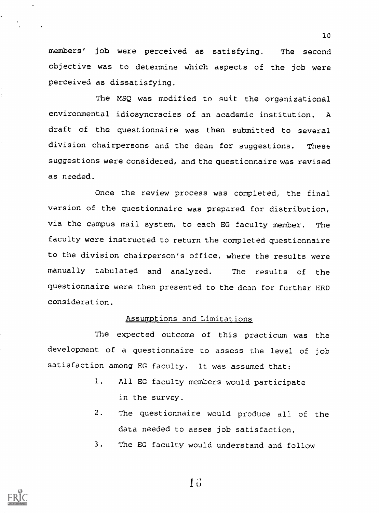members' job were perceived as satisfying. The second objective was to determine which aspects of the job were perceived as dissatisfying.

The MSQ was modified to suit the organizational environmental idiosyncracies of an academic institution. A draft of the questionnaire was then submitted to several division chairpersons and the dean for suggestions. These suggestions were considered, and the questionnaire was revised as needed.

Once the review process was completed, the final version of the questionnaire was prepared for distribution, via the campus mail system, to each EG faculty member. The faculty were instructed to return the completed questionnaire to the division chairperson's office, where the results were manually tabulated and analyzed. The results of the questionnaire were then presented to the dean for further HRD consideration.

# Assumptions and Limitations

The expected outcome of this practicum was the development of a questionnaire to assess the level of job satisfaction among EG faculty. It was assumed that:

- 1. All EG faculty members would participate in the survey.
- 2. The questionnaire would produce all of the data needed to asses job satisfaction.
- 3. The EG faculty would understand and follow



<sup>1</sup> 0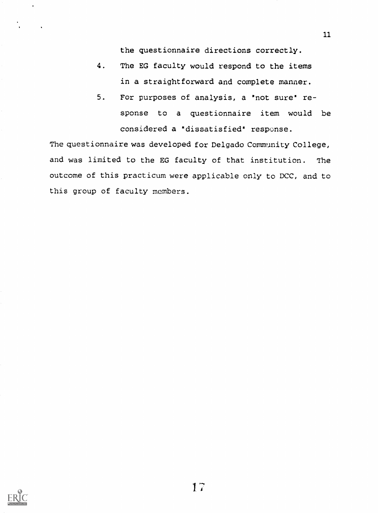the questionnaire directions correctly.

11

- 4. The EG faculty would respond to the items in a straightforward and complete manner.
- 5. For purposes of analysis, a "not sure" response to a questionnaire item would be considered a "dissatisfied" response.

The questionnaire was developed for Delgado Community College, and was limited to the EG faculty of that institution. The outcome of this practicum were applicable only to DCC, and to this group of faculty members.

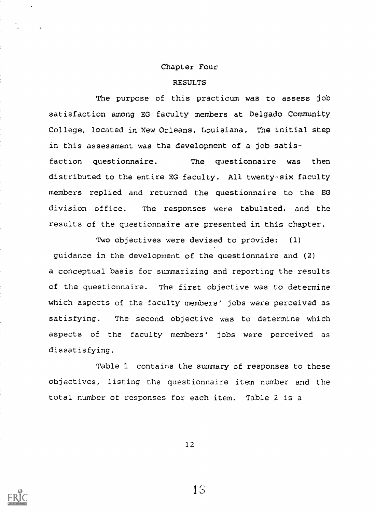#### Chapter Four

#### RESULTS

The purpose of this practicum was to assess job satisfaction among EG faculty members at Delgado Community College, located in New Orleans, Louisiana. The initial step in this assessment was the development of a job satis-

faction questionnaire. The questionnaire was then distributed to the entire EG faculty. All twenty-six faculty members replied and returned the questionnaire to the EG division office. The responses were tabulated, and the results of the questionnaire are presented in this chapter.

Two objectives were devised to provide: (1)

guidance in the development of the questionnaire and (2) a conceptual basis for summarizing and reporting the results of the questionnaire. The first objective was to determine which aspects of the faculty members' jobs were perceived as satisfying. The second objective was to determine which aspects of the faculty members' jobs were perceived as dissatisfying.

Table 1 contains the summary of responses to these objectives, listing the questionnaire item number and the total number of responses for each item. Table 2 is a

12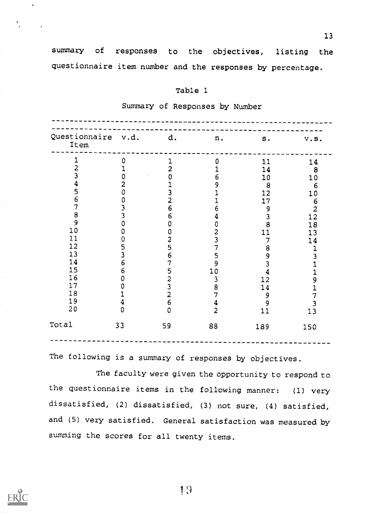summary of responses to the objectives, listing the questionnaire item number and the responses by percentage.

# Table 1

|  |  | Summary of Responses by Number |  |  |  |
|--|--|--------------------------------|--|--|--|
|--|--|--------------------------------|--|--|--|

| Questionnaire<br>Item | v.d. | d.             | n.             | ${\tt s}$ . | v.S.                                   |
|-----------------------|------|----------------|----------------|-------------|----------------------------------------|
| 1                     | 0    | 1              | $\mathbf 0$    | 11          | 14                                     |
| 2                     |      | $\overline{2}$ |                | 14          | 8                                      |
| 3                     |      | 0              | 6              | 10          | 10                                     |
| 4                     | 2    |                | 9              | 8           | 6                                      |
| 5                     | O    | 3              |                | 12          | 10                                     |
| 6                     | 0    | $\overline{2}$ |                | 17          | 6                                      |
| 7                     |      | 6              | 6              | 9           |                                        |
| $\bf{8}$              | 3    | 6              |                | 3           | $\begin{array}{c} 2 \\ 12 \end{array}$ |
| $\overline{9}$        | 0    | 0              | 0              | 8           | 18                                     |
| 10                    | 0    | 0              | 2              | 11          | 13                                     |
| 11                    | 0    | $rac{2}{5}$    | 3              | 7           | 14                                     |
| 12                    | 5    |                | 7              | 8           | 1                                      |
| 13                    | 3    | $\overline{6}$ | 5              | 9           | 3                                      |
| 14                    | 6    | $\overline{7}$ | 9              | 3           |                                        |
| 15                    | 6    | 5              | 10             | 4           |                                        |
| 16                    | ი    | $\frac{2}{3}$  | 3              | 12          | 9                                      |
| 17                    |      |                | 8              | 14          |                                        |
| 18<br>19              |      | $\bar{2}$      | 7              | 9           | 7                                      |
|                       |      | 6              | 4              | 9           | 3                                      |
| 20                    | 0    | $\mathbf 0$    | $\overline{c}$ | 11          | 13                                     |
| Total                 | 33   | 59             | 88             | 189         | 150                                    |

The following is a summary of responses by objectives.

The faculty were given the opportunity to respond to the questionnaire items in the following manner: (1) very dissatisfied, (2) dissatisfied, (3) not sure, (4) satisfied, and (5) very satisfied. General satisfaction was measured by summing the scores for all twenty items.

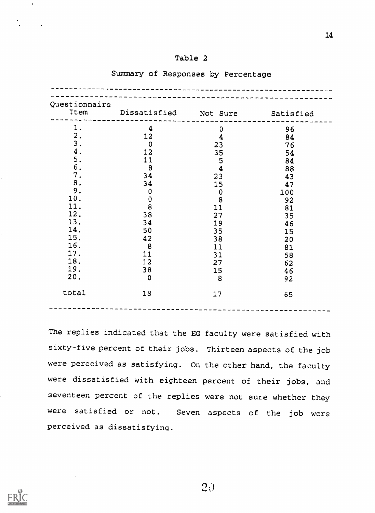# Table 2

| Questionnaire | Item Dissatisfied Not Sure Satisfied |                                       |     |
|---------------|--------------------------------------|---------------------------------------|-----|
|               |                                      |                                       |     |
| 1.            | 4                                    | $\mathbf 0$                           | 96  |
| 2.            | 12                                   | $\boldsymbol{4}$                      | 84  |
| 3.            | $\overline{0}$                       | 23                                    | 76  |
| 4.            | 12                                   | 35                                    | 54  |
| 5.            | 11                                   | 5                                     | 84  |
| 6.            | $\boldsymbol{8}$                     | $\overline{\mathbf{4}}$               | 88  |
| 7.            | 34                                   | 23                                    | 43  |
| $\bf 8$ .     | 34                                   | 15                                    | 47  |
| 9.            | $\mathbf 0$                          |                                       | 100 |
| 10.           | $\begin{matrix}0\\8\end{matrix}$     | $\begin{array}{c} 0 \\ 8 \end{array}$ | 92  |
| 11.           |                                      | 11                                    | 81  |
| 12.           | 38                                   | 27                                    | 35  |
| 13.           | 34                                   | 19                                    | 46  |
| 14.           | 50                                   | 35                                    | 15  |
| 15.           | 42                                   | 38                                    | 20  |
| 16.           | 8                                    | 11                                    | 81  |
| 17.           | 11                                   | 31                                    | 58  |
| 18.           | 12                                   | 27                                    | 62  |
| 19.           | 38                                   | 15                                    | 46  |
| 20.           | $\mathbf 0$                          | $\mathbf{8}$                          | 92  |
|               |                                      |                                       |     |
| total         | 18                                   | 17                                    | 65  |

# Summary of Responses by Percentage

The replies indicated that the EG faculty were satisfied with sixty-five percent of their jobs. Thirteen aspects of the job were perceived as satisfying. On the other hand, the faculty were dissatisfied with eighteen percent of their jobs, and seventeen percent of the replies were not sure whether they were satisfied or not. Seven aspects of the job were perceived as dissatisfying.



 $\hat{\mathbf{r}}$ 

 $2\theta$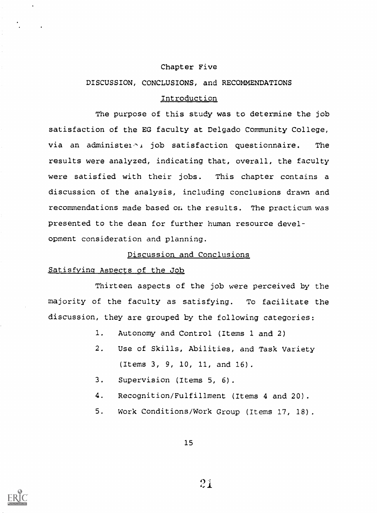### Chapter Five

#### DISCUSSION, CONCLUSIONS, and RECOMMENDATIONS

# Introduction

The purpose of this study was to determine the job satisfaction of the EG faculty at Delgado Community College, via an administe $1 \wedge$ , job satisfaction questionnaire. The results were analyzed, indicating that, overall, the faculty were satisfied with their jobs. This chapter contains a discussion of the analysis, including conclusions drawn and recommendations made based on the results. The practicum was presented to the dean for further human resource development consideration and planning.

## Discussion and Conclusions

#### Satisfying Aspects of the Job

Thirteen aspects of the job were perceived by the majority of the faculty as satisfying. To facilitate the discussion, they are grouped by the following categories:

- 1. Autonomy and Control (Items 1 and 2)
- 2. Use of Skills, Abilities, and Task Variety (Items 3, 9, 10, 11, and 16).
- $3.$ Supervision (Items 5, 6).
- 4. Recognition/Fulfillment (Items 4 and 20).
- 5. Work Conditions/Work Group (Items 17, 18).

15

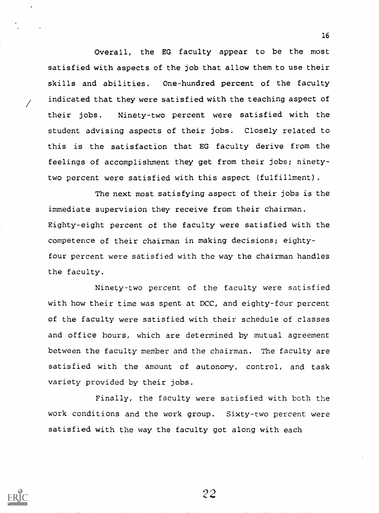Overall, the EG faculty appear to be the most satisfied with aspects of the job that allow them to use their skills and abilities. One-hundred percent of the faculty indicated that they were satisfied with the teaching aspect of their jobs. Ninety-two percent were satisfied with the student advising aspects of their jobs. Closely related to this is the satisfaction that EG faculty derive from the feelings of accomplishment they get from their jobs; ninetytwo percent were satisfied with this aspect (fulfillment).

The next most satisfying aspect of their jobs is the immediate supervision they receive from their chairman. Eighty-eight percent of the faculty were satisfied with the competence of their chairman in making decisions; eightyfour percent were satisfied with the way the chairman handles the faculty.

Ninety-two percent of the faculty were satisfied with how their time was spent at DCC, and eighty-four percent of the faculty were satisfied with their schedule of classes and office hours, which are determined by mutual agreement between the faculty member and the chairman. The faculty are satisfied with the amount of autonomy, control, and task variety provided by their jobs.

Finally, the faculty were satisfied with both the work conditions and the work group. Sixty-two percent were satisfied with the way the faculty got along with each

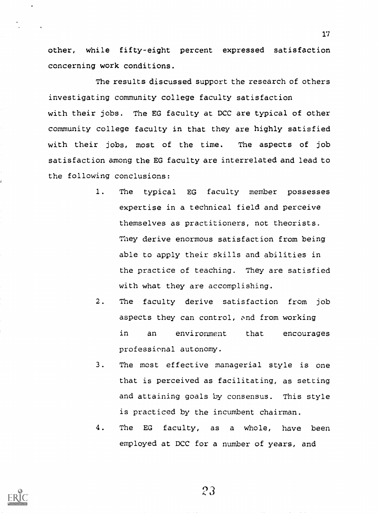other, while fifty-eight percent expressed satisfaction concerning work conditions.

The results discussed support the research of others investigating community college faculty satisfaction with their jobs. The EG faculty at DCC are typical of other community college faculty in that they are highly satisfied with their jobs, most of the time. The aspects of job satisfaction among the EG faculty are interrelated and lead to the following conclusions:

- 1. The typical EG faculty member possesses expertise in a technical field and perceive themselves as practitioners, not theorists. They derive enormous satisfaction from being able to apply their skills and abilities in the practice of teaching. They are satisfied with what they are accomplishing.
- 2. The faculty derive satisfaction from job aspects they can control, and from working in an environment that encourages professional autonomy.
- 3. The most effective managerial style is one that is perceived as facilitating, as setting and attaining goals by consensus. This style is practiced by the incumbent chairman.
- 4. The EG faculty, as a whole, have been employed at DCC for a number of years, and

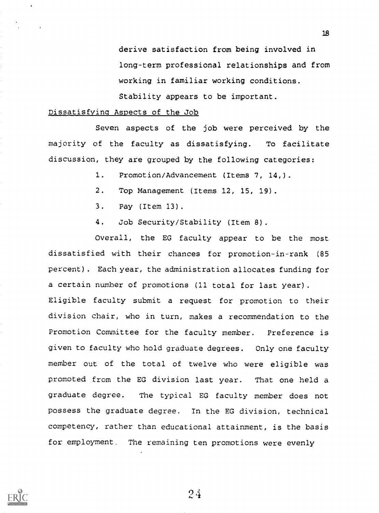derive satisfaction from being involved in long-term professional relationships and from working in familiar working conditions. Stability appears to be important.

#### Dissatisfying Aspects of the Job

Seven aspects of the job were perceived by the majority of the faculty as dissatisfying. To facilitate discussion, they are grouped by the following categories:

1. Promotion/Advancement (Items 7, 14,).

- 2. Top Management (Items 12, 15, 19).
- 3. Pay (Item 13).
- 4. Job Security/Stability (Item 8).

Overall, the EG faculty appear to be the most dissatisfied with their chances for promotion-in-rank (85 percent) . Each year, the administration allocates funding for a certain number of promotions (11 total for last year). Eligible faculty submit a request for promotion to their division chair, who in turn, makes a recommendation to the Promotion Committee for the faculty member. Preference is given to faculty who hold graduate degrees. Only one faculty member out of the total of twelve who were eligible was promoted from the EG division last year. That one held a graduate degree. The typical EG faculty member does not possess the graduate degree. In the EG division, technical competency, rather than educational attainment, is the basis for employment. The remaining ten promotions were evenly



 $24$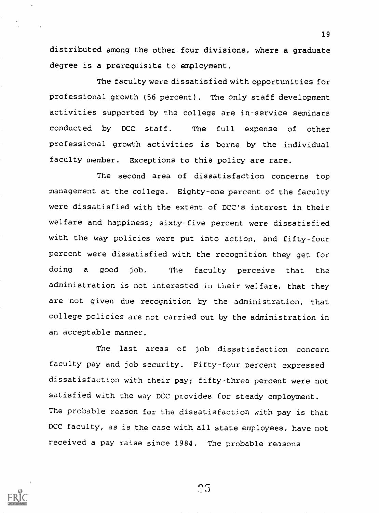distributed among the other four divisions, where a graduate degree is a prerequisite to employment.

The faculty were dissatisfied with opportunities for professional growth (56 percent). The only staff development activities supported by the college are in-service seminars conducted by DCC staff. The full expense of other professional growth activities is borne by the individual faculty member. Exceptions to this policy are rare.

The second area of dissatisfaction concerns top management at the college. Eighty-one percent of the faculty were dissatisfied with the extent of DCC's interest in their welfare and happiness; sixty-five percent were dissatisfied with the way policies were put into action, and fifty-four percent were dissatisfied with the recognition they get for doing <sup>a</sup> good job. The faculty perceive that the administration is not interested in Lheir welfare, that they are not given due recognition by the administration, that college policies are not carried out by the administration in an acceptable manner.

The last areas of job dissatisfaction concern faculty pay and job security. Fifty-four percent expressed dissatisfaction with their pay; fifty-three percent were not satisfied with the way DCC provides for steady employment. The probable reason for the dissatisfaction with pay is that DCC faculty, as is the case with all state employees, have not received a pay raise since 1984. The probable reasons

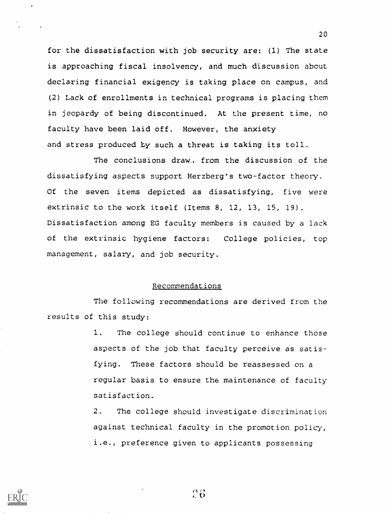for the dissatisfaction with job security are: (1) The state is approaching fiscal insolvency, and much discussion about declaring financial exigency is taking place on campus, and (2) Lack of enrollments in technical programs is placing them in jeopardy of being discontinued. At the present time, no faculty have been laid off. However, the anxiety and stress produced by such a threat is taking its toll.

The conclusions draw, from the discussion of the dissatisfying aspects support Herzberg's two-factor theory. Of the seven items depicted as dissatisfying, five were extrinsic to the work itself (Items 8, 12, 13, 15, 19). Dissatisfaction among EG faculty members is caused by a lack of the extrinsic hygiene factors: College policies, top management, salary, and job security.

# Recommendations

The following recommendations are derived from the results of this study:

> 1. The college should continue to enhance those aspects of the job that faculty perceive as satisfying. These factors should be reassessed on a regular basis to ensure the maintenance of faculty satisfaction.

> 2. The college should investigate discrimination against technical faculty in the promotion policy, i.e., preference given to applicants possessing



26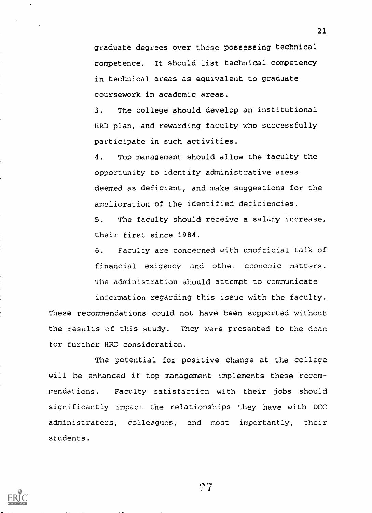graduate degrees over those possessing technical competence. It should list technical competency in technical areas as equivalent to graduate coursework in academic areas.

3. The college should develop an institutional HRD plan, and rewarding faculty who successfully participate in such activities.

4. Top management should allow the faculty the opportunity to identify administrative areas deemed as deficient, and make suggestions for the amelioration of the identified deficiencies.

5. The faculty should receive a salary increase, their first since 1984.

6. Faculty are concerned with unofficial talk of financial exigency and othe economic matters. The administration should attempt to communicate information regarding this issue with the faculty.

These recommendations could not have been supported without the results of this study. They were presented to the dean for further HRD consideration.

Tha potential for positive change at the college will be enhanced if top management implements these recommendations. Faculty satisfaction with their jobs should significantly impact the relationships they have with DCC administrators, colleagues, and most importantly, their students.

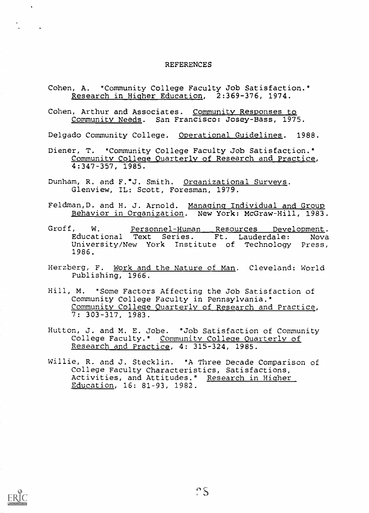#### REFERENCES

- Cohen, A. "Community College Faculty Job Satisfaction." Research in Higher Education, 2:369-376, 1974.
- Cohen, Arthur and Associates. Community Responses to Community Needs. San Francisco: Josey-Bass, 1975.

Delgado Community College. Operational Guidelines. 1988.

- Diener, T. "Community College Faculty Job Satisfaction." Community College Quarterly of Research and Practice, 4:347-357, 1985.
- Dunham, R. and F.ºJ. Smith. Organizational Surveys. Glenview, IL: Scott, Foresman, 1979.
- Feldman,D. and H. J. Arnold. Managing Individual and Group Behavior in Organization. New York: McGraw-Hill, 1983.
- Groff, W. Personnel-Human Resources Development. Educational Text Series. Ft. Lauderdale: Nova University/New York Institute of Technology Press, 1986.
- Herzberg, F. Work and the Nature of Man. Cleveland: World Publishing, 1966.
- Hill, M. "Some Factors Affecting the Job Satisfaction of Community College Faculty in Pennsylvania." Community College Quarterly of Research and Practice, 7: 303-317, 1983.
- Hutton, J. and M. E. Jobe. "Job Satisfaction of Community College Faculty." Community College Quarterly of Research and Practice,, 4: 315-324, 1985.
- Willie, R. and J. Stecklin. "A Three Decade Comparison of College Faculty Characteristics, Satisfactions, Activities, and Attitudes." Research in Higher Education, 16: 81-93, 1982.

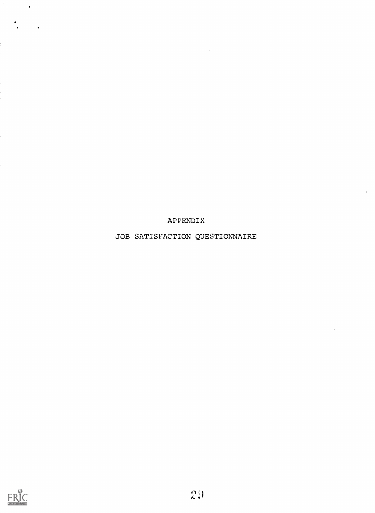APPENDIX

 $\bar{\bar{z}}$ 

JOB SATISFACTION QUESTIONNAIRE



 $\mathcal{F}_\mathrm{c}$ 

 $\mathcal{L}(\mathbf{r})$ 

 $\frac{1}{2}$